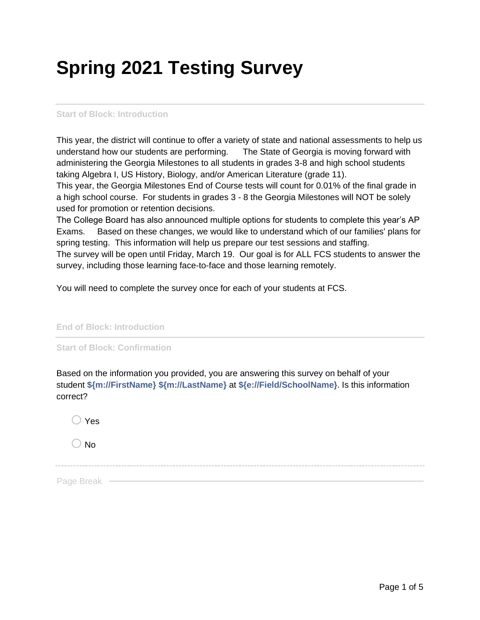## **Spring 2021 Testing Survey**

## **Start of Block: Introduction**

This year, the district will continue to offer a variety of state and national assessments to help us understand how our students are performing. The State of Georgia is moving forward with administering the Georgia Milestones to all students in grades 3-8 and high school students taking Algebra I, US History, Biology, and/or American Literature (grade 11).

This year, the Georgia Milestones End of Course tests will count for 0.01% of the final grade in a high school course. For students in grades 3 - 8 the Georgia Milestones will NOT be solely used for promotion or retention decisions.

The College Board has also announced multiple options for students to complete this year's AP Exams. Based on these changes, we would like to understand which of our families' plans for spring testing. This information will help us prepare our test sessions and staffing. The survey will be open until Friday, March 19. Our goal is for ALL FCS students to answer the survey, including those learning face-to-face and those learning remotely.

You will need to complete the survey once for each of your students at FCS.

**End of Block: Introduction**

**Start of Block: Confirmation**

Based on the information you provided, you are answering this survey on behalf of your student **\${m://FirstName} \${m://LastName}** at **\${e://Field/SchoolName}**. Is this information correct?

| $\bigcirc$ Yes |  |  |  |
|----------------|--|--|--|
| $\bigcirc$ No  |  |  |  |
|                |  |  |  |
| Page Break -   |  |  |  |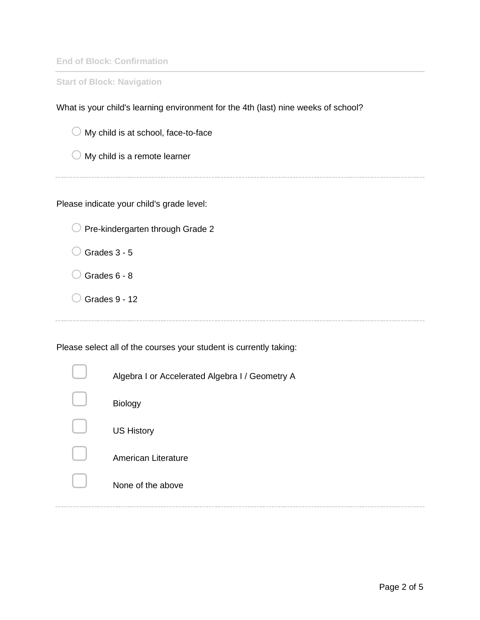**End of Block: Confirmation**

**Start of Block: Navigation**

What is your child's learning environment for the 4th (last) nine weeks of school?

 $\bigcirc$  My child is at school, face-to-face

 $\bigcirc$  My child is a remote learner

Please indicate your child's grade level:

 $\bigcirc$  Pre-kindergarten through Grade 2

 $\bigcirc$  Grades 3 - 5

 $\bigcirc$  Grades 6 - 8

 $\bigcirc$  Grades 9 - 12

Please select all of the courses your student is currently taking:

| Algebra I or Accelerated Algebra I / Geometry A |
|-------------------------------------------------|
| <b>Biology</b>                                  |
| <b>US History</b>                               |
| American Literature                             |
| None of the above                               |
|                                                 |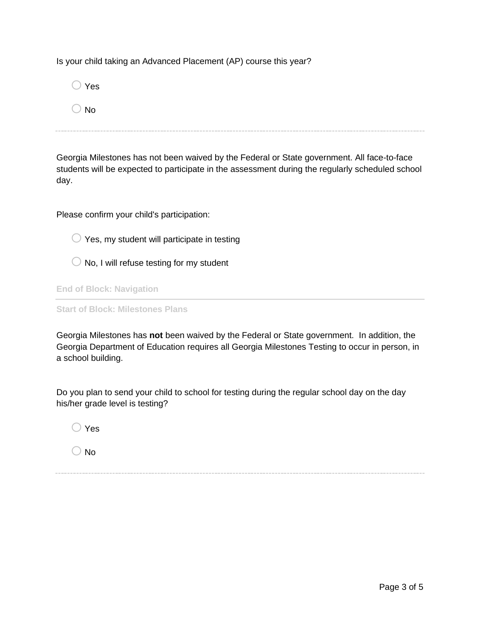Is your child taking an Advanced Placement (AP) course this year?

| $\bigcirc$ Yes |  |  |  |
|----------------|--|--|--|
| $\bigcirc$ No  |  |  |  |
|                |  |  |  |

Georgia Milestones has not been waived by the Federal or State government. All face-to-face students will be expected to participate in the assessment during the regularly scheduled school day.

Please confirm your child's participation:

 $\bigcirc$  Yes, my student will participate in testing

 $\bigcirc$  No, I will refuse testing for my student

**End of Block: Navigation**

**Start of Block: Milestones Plans**

Georgia Milestones has **not** been waived by the Federal or State government. In addition, the Georgia Department of Education requires all Georgia Milestones Testing to occur in person, in a school building.

Do you plan to send your child to school for testing during the regular school day on the day his/her grade level is testing?

 $\bigcap$  Yes

 $\bigcirc$  No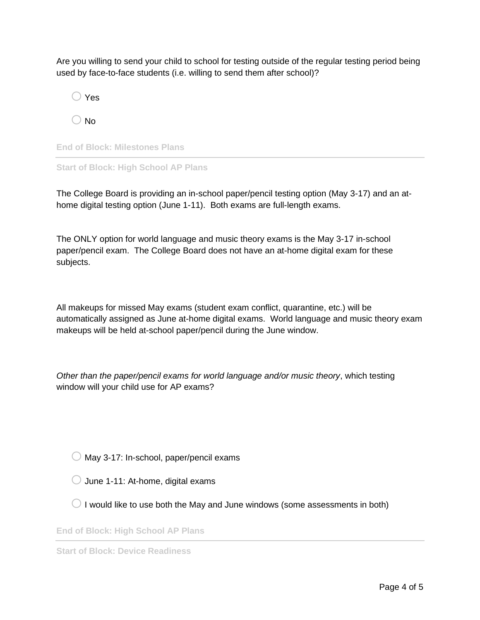Are you willing to send your child to school for testing outside of the regular testing period being used by face-to-face students (i.e. willing to send them after school)?

 $\bigcirc$  Yes

 $\bigcirc$  No

**End of Block: Milestones Plans**

**Start of Block: High School AP Plans**

The College Board is providing an in-school paper/pencil testing option (May 3-17) and an athome digital testing option (June 1-11). Both exams are full-length exams.

The ONLY option for world language and music theory exams is the May 3-17 in-school paper/pencil exam. The College Board does not have an at-home digital exam for these subjects.

All makeups for missed May exams (student exam conflict, quarantine, etc.) will be automatically assigned as June at-home digital exams. World language and music theory exam makeups will be held at-school paper/pencil during the June window.

*Other than the paper/pencil exams for world language and/or music theory*, which testing window will your child use for AP exams?

- $\bigcirc$  May 3-17: In-school, paper/pencil exams
- $\bigcirc$  June 1-11: At-home, digital exams
- $\bigcirc$  I would like to use both the May and June windows (some assessments in both)

**End of Block: High School AP Plans**

**Start of Block: Device Readiness**